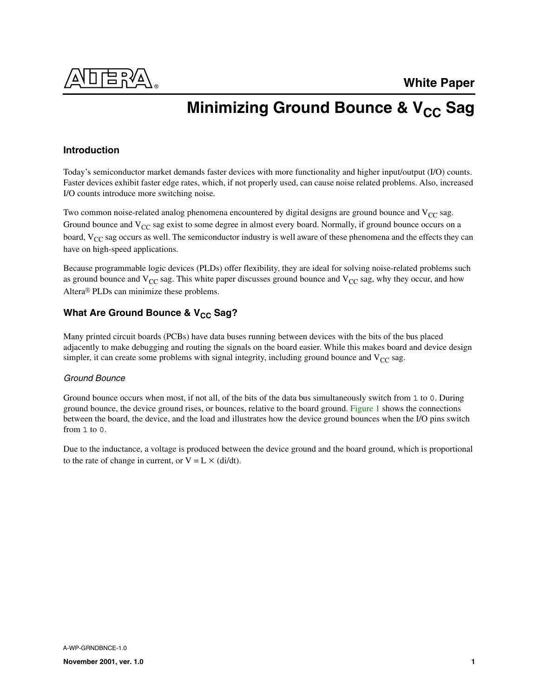

# **Minimizing Ground Bounce & V<sub>CC</sub> Sag**

# **Introduction**

Today's semiconductor market demands faster devices with more functionality and higher input/output (I/O) counts. Faster devices exhibit faster edge rates, which, if not properly used, can cause noise related problems. Also, increased I/O counts introduce more switching noise.

Two common noise-related analog phenomena encountered by digital designs are ground bounce and  $V_{CC}$  sag. Ground bounce and  $V_{CC}$  sag exist to some degree in almost every board. Normally, if ground bounce occurs on a board, V<sub>CC</sub> sag occurs as well. The semiconductor industry is well aware of these phenomena and the effects they can have on high-speed applications.

Because programmable logic devices (PLDs) offer flexibility, they are ideal for solving noise-related problems such as ground bounce and  $V_{CC}$  sag. This white paper discusses ground bounce and  $V_{CC}$  sag, why they occur, and how Altera® PLDs can minimize these problems.

# **What Are Ground Bounce & V<sub>CC</sub> Sag?**

Many printed circuit boards (PCBs) have data buses running between devices with the bits of the bus placed adjacently to make debugging and routing the signals on the board easier. While this makes board and device design simpler, it can create some problems with signal integrity, including ground bounce and  $V_{CC}$  sag.

### *Ground Bounce*

Ground bounce occurs when most, if not all, of the bits of the data bus simultaneously switch from 1 to 0. During ground bounce, the device ground rises, or bounces, relative to the board ground. [Figure 1](#page-1-0) shows the connections between the board, the device, and the load and illustrates how the device ground bounces when the I/O pins switch from 1 to 0.

Due to the inductance, a voltage is produced between the device ground and the board ground, which is proportional to the rate of change in current, or  $V = L \times (di/dt)$ .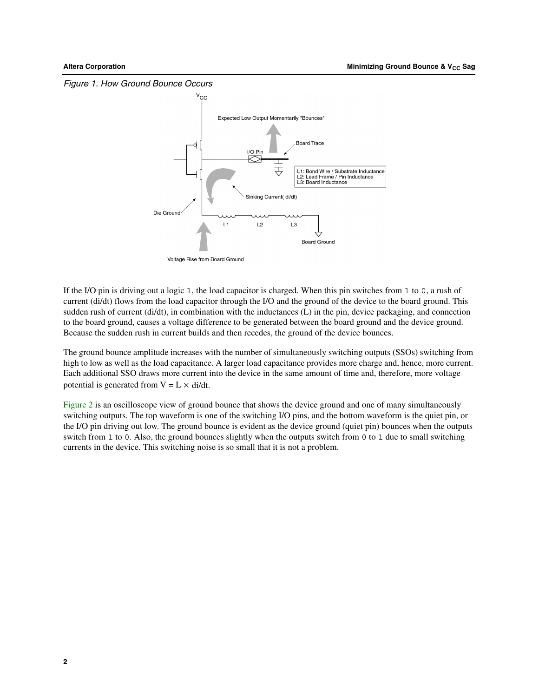<span id="page-1-0"></span>

If the I/O pin is driving out a logic 1, the load capacitor is charged. When this pin switches from 1 to 0, a rush of current (di/dt) flows from the load capacitor through the I/O and the ground of the device to the board ground. This sudden rush of current (di/dt), in combination with the inductances (L) in the pin, device packaging, and connection to the board ground, causes a voltage difference to be generated between the board ground and the device ground. Because the sudden rush in current builds and then recedes, the ground of the device bounces.

The ground bounce amplitude increases with the number of simultaneously switching outputs (SSOs) switching from high to low as well as the load capacitance. A larger load capacitance provides more charge and, hence, more current. Each additional SSO draws more current into the device in the same amount of time and, therefore, more voltage potential is generated from  $V = L \times \frac{di}{dt}$ .

Figure 2 is an oscilloscope view of ground bounce that shows the device ground and one of many simultaneously switching outputs. The top waveform is one of the switching I/O pins, and the bottom waveform is the quiet pin, or the I/O pin driving out low. The ground bounce is evident as the device ground (quiet pin) bounces when the outputs switch from 1 to 0. Also, the ground bounces slightly when the outputs switch from 0 to 1 due to small switching currents in the device. This switching noise is so small that it is not a problem.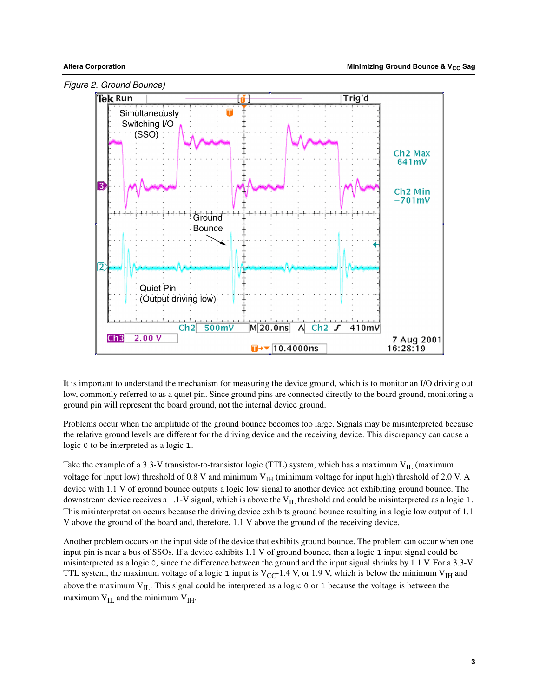

It is important to understand the mechanism for measuring the device ground, which is to monitor an I/O driving out low, commonly referred to as a quiet pin. Since ground pins are connected directly to the board ground, monitoring a ground pin will represent the board ground, not the internal device ground.

Problems occur when the amplitude of the ground bounce becomes too large. Signals may be misinterpreted because the relative ground levels are different for the driving device and the receiving device. This discrepancy can cause a logic 0 to be interpreted as a logic 1.

Take the example of a 3.3-V transistor-to-transistor logic (TTL) system, which has a maximum  $V_{II}$  (maximum voltage for input low) threshold of 0.8 V and minimum V<sub>IH</sub> (minimum voltage for input high) threshold of 2.0 V. A device with 1.1 V of ground bounce outputs a logic low signal to another device not exhibiting ground bounce. The downstream device receives a 1.1-V signal, which is above the  $V_{II}$  threshold and could be misinterpreted as a logic 1. This misinterpretation occurs because the driving device exhibits ground bounce resulting in a logic low output of 1.1 V above the ground of the board and, therefore, 1.1 V above the ground of the receiving device.

Another problem occurs on the input side of the device that exhibits ground bounce. The problem can occur when one input pin is near a bus of SSOs. If a device exhibits 1.1 V of ground bounce, then a logic 1 input signal could be misinterpreted as a logic 0, since the difference between the ground and the input signal shrinks by 1.1 V. For a 3.3-V TTL system, the maximum voltage of a logic 1 input is  $V_{CC}$ -1.4 V, or 1.9 V, which is below the minimum  $V_{IH}$  and above the maximum  $V_{IL}$ . This signal could be interpreted as a logic 0 or 1 because the voltage is between the maximum  $V_{IL}$  and the minimum  $V_{IH}$ .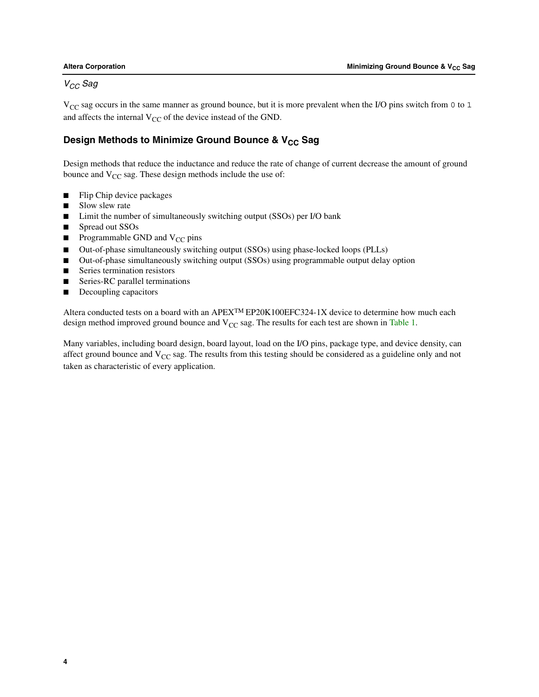# *VCC Sag*

 $V_{CC}$  sag occurs in the same manner as ground bounce, but it is more prevalent when the I/O pins switch from 0 to 1 and affects the internal  $V_{CC}$  of the device instead of the GND.

# Design Methods to Minimize Ground Bounce & V<sub>CC</sub> Sag

Design methods that reduce the inductance and reduce the rate of change of current decrease the amount of ground bounce and  $V_{CC}$  sag. These design methods include the use of:

- Flip Chip device packages
- Slow slew rate
- Limit the number of simultaneously switching output (SSOs) per I/O bank
- Spread out SSOs
- **■** Programmable GND and  $V_{CC}$  pins
- Out-of-phase simultaneously switching output (SSOs) using phase-locked loops (PLLs)
- Out-of-phase simultaneously switching output (SSOs) using programmable output delay option
- Series termination resistors
- Series-RC parallel terminations
- Decoupling capacitors

Altera conducted tests on a board with an APEXTM EP20K100EFC324-1X device to determine how much each design method improved ground bounce and  $V_{CC}$  sag. The results for each test are shown in [Table 1](#page-4-0).

Many variables, including board design, board layout, load on the I/O pins, package type, and device density, can affect ground bounce and  $V_{CC}$  sag. The results from this testing should be considered as a guideline only and not taken as characteristic of every application.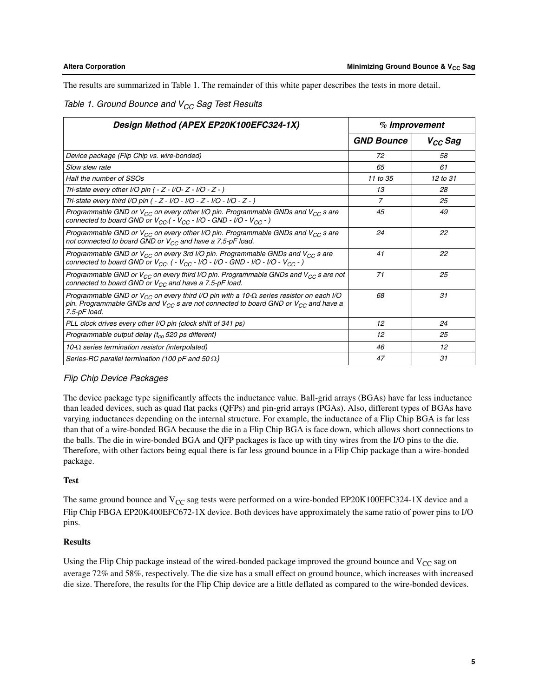The results are summarized in Table 1. The remainder of this white paper describes the tests in more detail.

### <span id="page-4-0"></span>*Table 1. Ground Bounce and V<sub>CC</sub> Sag Test Results*

| Design Method (APEX EP20K100EFC324-1X)                                                                                                                                                                                           | % Improvement     |              |
|----------------------------------------------------------------------------------------------------------------------------------------------------------------------------------------------------------------------------------|-------------------|--------------|
|                                                                                                                                                                                                                                  | <b>GND Bounce</b> | $V_{CC}$ Sag |
| Device package (Flip Chip vs. wire-bonded)                                                                                                                                                                                       | 72                | 58           |
| Slow slew rate                                                                                                                                                                                                                   | 65                | 61           |
| Half the number of SSOs                                                                                                                                                                                                          | 11 to 35          | $12$ to $31$ |
| Tri-state every other I/O pin $(-Z - I/O - Z - I/O - Z - I)$                                                                                                                                                                     | 13                | 28           |
| Tri-state every third I/O pin ( - Z - I/O - I/O - Z - I/O - I/O - Z - )                                                                                                                                                          | 7                 | 25           |
| Programmable GND or $V_{CC}$ on every other I/O pin. Programmable GNDs and $V_{CC}$ s are<br>connected to board GND or $V_{CC}$ ( - $V_{CC}$ - I/O - GND - I/O - $V_{CC}$ - )                                                    | 45                | 49           |
| Programmable GND or $V_{CC}$ on every other I/O pin. Programmable GNDs and $V_{CC}$ s are<br>not connected to board GND or $V_{CC}$ and have a 7.5-pF load.                                                                      | 24                | 22           |
| Programmable GND or $V_{CC}$ on every 3rd I/O pin. Programmable GNDs and $V_{CC}$ s are<br>connected to board GND or $V_{CC}$ . ( - $V_{CC}$ - I/O - I/O - GND - I/O - I/O - $V_{CC}$ - )                                        | 41                | 22           |
| Programmable GND or $V_{CC}$ on every third I/O pin. Programmable GNDs and $V_{CC}$ s are not<br>connected to board GND or $V_{CC}$ and have a 7.5-pF load.                                                                      | 71                | 25           |
| Programmable GND or $V_{CC}$ on every third I/O pin with a 10- $\Omega$ series resistor on each I/O<br>pin. Programmable GNDs and V <sub>CC</sub> s are not connected to board GND or V <sub>CC</sub> and have a<br>7.5-pF load. | 68                | 31           |
| PLL clock drives every other I/O pin (clock shift of 341 ps)                                                                                                                                                                     | 12                | 24           |
| Programmable output delay $(t_{co} 520 \text{ ps different})$                                                                                                                                                                    | 12                | 25           |
| 10- $\Omega$ series termination resistor (interpolated)                                                                                                                                                                          | 46                | 12           |
| Series-RC parallel termination (100 pF and 50 $\Omega$ )                                                                                                                                                                         | 47                | 31           |

# *Flip Chip Device Packages*

The device package type significantly affects the inductance value. Ball-grid arrays (BGAs) have far less inductance than leaded devices, such as quad flat packs (QFPs) and pin-grid arrays (PGAs). Also, different types of BGAs have varying inductances depending on the internal structure. For example, the inductance of a Flip Chip BGA is far less than that of a wire-bonded BGA because the die in a Flip Chip BGA is face down, which allows short connections to the balls. The die in wire-bonded BGA and QFP packages is face up with tiny wires from the I/O pins to the die. Therefore, with other factors being equal there is far less ground bounce in a Flip Chip package than a wire-bonded package.

### **Test**

The same ground bounce and  $V_{CC}$  sag tests were performed on a wire-bonded EP20K100EFC324-1X device and a Flip Chip FBGA EP20K400EFC672-1X device. Both devices have approximately the same ratio of power pins to I/O pins.

### **Results**

Using the Flip Chip package instead of the wired-bonded package improved the ground bounce and  $V_{CC}$  sag on average 72% and 58%, respectively. The die size has a small effect on ground bounce, which increases with increased die size. Therefore, the results for the Flip Chip device are a little deflated as compared to the wire-bonded devices.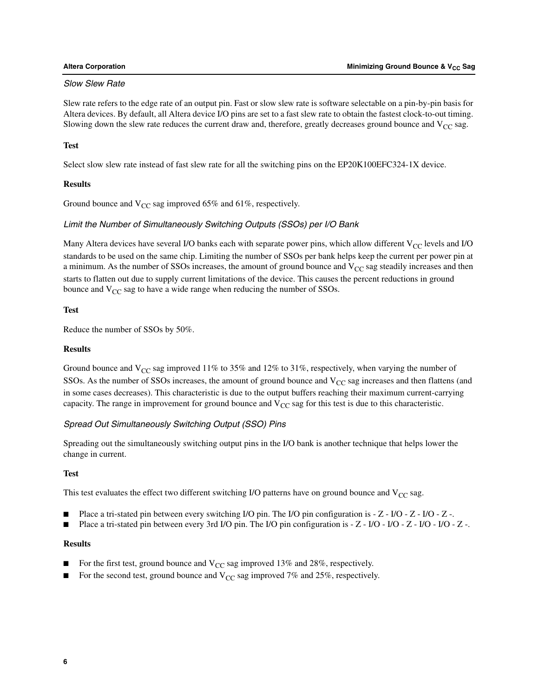#### *Slow Slew Rate*

Slew rate refers to the edge rate of an output pin. Fast or slow slew rate is software selectable on a pin-by-pin basis for Altera devices. By default, all Altera device I/O pins are set to a fast slew rate to obtain the fastest clock-to-out timing. Slowing down the slew rate reduces the current draw and, therefore, greatly decreases ground bounce and  $V_{CC}$  sag.

#### **Test**

Select slow slew rate instead of fast slew rate for all the switching pins on the EP20K100EFC324-1X device.

#### **Results**

Ground bounce and  $V_{CC}$  sag improved 65% and 61%, respectively.

#### *Limit the Number of Simultaneously Switching Outputs (SSOs) per I/O Bank*

Many Altera devices have several I/O banks each with separate power pins, which allow different  $V_{CC}$  levels and I/O standards to be used on the same chip. Limiting the number of SSOs per bank helps keep the current per power pin at a minimum. As the number of SSOs increases, the amount of ground bounce and  $V_{CC}$  sag steadily increases and then starts to flatten out due to supply current limitations of the device. This causes the percent reductions in ground bounce and  $V_{CC}$  sag to have a wide range when reducing the number of SSOs.

#### **Test**

Reduce the number of SSOs by 50%.

#### **Results**

Ground bounce and  $V_{CC}$  sag improved 11% to 35% and 12% to 31%, respectively, when varying the number of SSOs. As the number of SSOs increases, the amount of ground bounce and  $V_{CC}$  sag increases and then flattens (and in some cases decreases). This characteristic is due to the output buffers reaching their maximum current-carrying capacity. The range in improvement for ground bounce and  $V_{CC}$  sag for this test is due to this characteristic.

### *Spread Out Simultaneously Switching Output (SSO) Pins*

Spreading out the simultaneously switching output pins in the I/O bank is another technique that helps lower the change in current.

#### **Test**

This test evaluates the effect two different switching I/O patterns have on ground bounce and  $V_{CC}$  sag.

- Place a tri-stated pin between every switching I/O pin. The I/O pin configuration is  $-Z I/O Z I/O Z I$ .
- Place a tri-stated pin between every 3rd I/O pin. The I/O pin configuration is  $Z I/O I/O Z I/O I/O Z -$

#### **Results**

- For the first test, ground bounce and  $V_{CC}$  sag improved 13% and 28%, respectively.
- For the second test, ground bounce and  $V_{CC}$  sag improved 7% and 25%, respectively.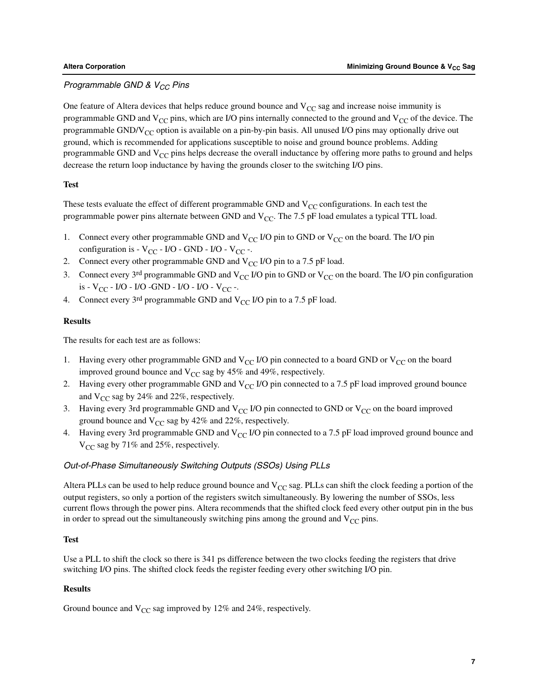# **Programmable GND & V<sub>CC</sub> Pins**

One feature of Altera devices that helps reduce ground bounce and  $V_{CC}$  sag and increase noise immunity is programmable GND and  $V_{CC}$  pins, which are I/O pins internally connected to the ground and  $V_{CC}$  of the device. The programmable GND/V<sub>CC</sub> option is available on a pin-by-pin basis. All unused I/O pins may optionally drive out ground, which is recommended for applications susceptible to noise and ground bounce problems. Adding programmable GND and  $V_{CC}$  pins helps decrease the overall inductance by offering more paths to ground and helps decrease the return loop inductance by having the grounds closer to the switching I/O pins.

#### **Test**

These tests evaluate the effect of different programmable GND and  $V_{CC}$  configurations. In each test the programmable power pins alternate between GND and  $V_{CC}$ . The 7.5 pF load emulates a typical TTL load.

- 1. Connect every other programmable GND and  $V_{CC}$  I/O pin to GND or  $V_{CC}$  on the board. The I/O pin configuration is -  $V_{CC}$  - I/O - GND - I/O -  $V_{CC}$  -.
- 2. Connect every other programmable GND and  $V_{CC}$  I/O pin to a 7.5 pF load.
- 3. Connect every 3<sup>rd</sup> programmable GND and V<sub>CC</sub> I/O pin to GND or V<sub>CC</sub> on the board. The I/O pin configuration is -  $V_{CC}$  - I/O - I/O - GND - I/O - I/O -  $V_{CC}$  -.
- 4. Connect every 3<sup>rd</sup> programmable GND and  $V_{CC}$  I/O pin to a 7.5 pF load.

#### **Results**

The results for each test are as follows:

- 1. Having every other programmable GND and  $V_{CC}$  I/O pin connected to a board GND or  $V_{CC}$  on the board improved ground bounce and  $V_{CC}$  sag by 45% and 49%, respectively.
- 2. Having every other programmable GND and  $V_{CC}$  I/O pin connected to a 7.5 pF load improved ground bounce and  $V_{CC}$  sag by 24% and 22%, respectively.
- 3. Having every 3rd programmable GND and  $V_{CC}$  I/O pin connected to GND or  $V_{CC}$  on the board improved ground bounce and  $V_{CC}$  sag by 42% and 22%, respectively.
- 4. Having every 3rd programmable GND and  $V_{CC}$  I/O pin connected to a 7.5 pF load improved ground bounce and  $V_{CC}$  sag by 71% and 25%, respectively.

### *Out-of-Phase Simultaneously Switching Outputs (SSOs) Using PLLs*

Altera PLLs can be used to help reduce ground bounce and  $V_{CC}$  sag. PLLs can shift the clock feeding a portion of the output registers, so only a portion of the registers switch simultaneously. By lowering the number of SSOs, less current flows through the power pins. Altera recommends that the shifted clock feed every other output pin in the bus in order to spread out the simultaneously switching pins among the ground and  $V_{CC}$  pins.

#### **Test**

Use a PLL to shift the clock so there is 341 ps difference between the two clocks feeding the registers that drive switching I/O pins. The shifted clock feeds the register feeding every other switching I/O pin.

#### **Results**

Ground bounce and  $V_{CC}$  sag improved by 12% and 24%, respectively.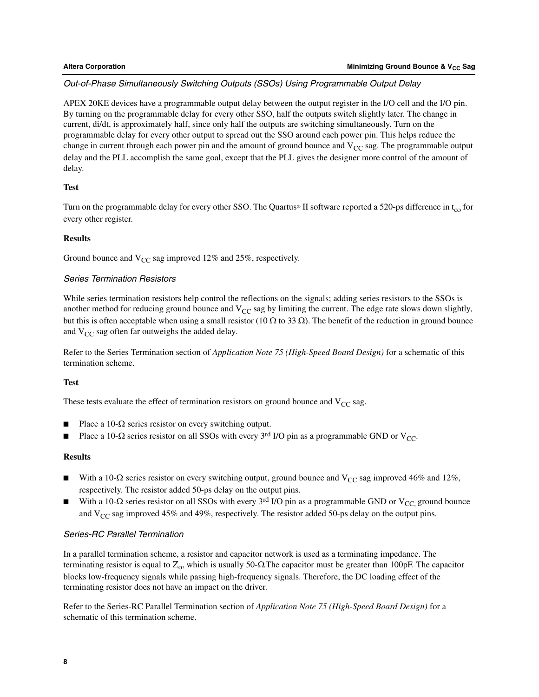### *Out-of-Phase Simultaneously Switching Outputs (SSOs) Using Programmable Output Delay*

APEX 20KE devices have a programmable output delay between the output register in the I/O cell and the I/O pin. By turning on the programmable delay for every other SSO, half the outputs switch slightly later. The change in current, di/dt, is approximately half, since only half the outputs are switching simultaneously. Turn on the programmable delay for every other output to spread out the SSO around each power pin. This helps reduce the change in current through each power pin and the amount of ground bounce and  $V_{CC}$  sag. The programmable output delay and the PLL accomplish the same goal, except that the PLL gives the designer more control of the amount of delay.

#### **Test**

Turn on the programmable delay for every other SSO. The Quartus® II software reported a 520-ps difference in  $t_{co}$  for every other register.

#### **Results**

Ground bounce and  $V_{CC}$  sag improved 12% and 25%, respectively.

### *Series Termination Resistors*

While series termination resistors help control the reflections on the signals; adding series resistors to the SSOs is another method for reducing ground bounce and  $V_{CC}$  sag by limiting the current. The edge rate slows down slightly, but this is often acceptable when using a small resistor (10  $\Omega$  to 33  $\Omega$ ). The benefit of the reduction in ground bounce and  $V_{CC}$  sag often far outweighs the added delay.

Refer to the Series Termination section of *Application Note 75 (High-Speed Board Design)* for a schematic of this termination scheme.

### **Test**

These tests evaluate the effect of termination resistors on ground bounce and  $V_{CC}$  sag.

- Place a 10- $\Omega$  series resistor on every switching output.
- Place a 10-Ω series resistor on all SSOs with every 3<sup>rd</sup> I/O pin as a programmable GND or V<sub>CC</sub>.

#### **Results**

- With a 10- $\Omega$  series resistor on every switching output, ground bounce and V<sub>CC</sub> sag improved 46% and 12%, respectively. The resistor added 50-ps delay on the output pins.
- With a 10-Ω series resistor on all SSOs with every 3<sup>rd</sup> I/O pin as a programmable GND or V<sub>CC</sub> ground bounce and  $V_{CC}$  sag improved 45% and 49%, respectively. The resistor added 50-ps delay on the output pins.

### *Series-RC Parallel Termination*

In a parallel termination scheme, a resistor and capacitor network is used as a terminating impedance. The terminating resistor is equal to  $Z_0$ , which is usually 50-Ω. The capacitor must be greater than 100pF. The capacitor blocks low-frequency signals while passing high-frequency signals. Therefore, the DC loading effect of the terminating resistor does not have an impact on the driver.

Refer to the Series-RC Parallel Termination section of *Application Note 75 (High-Speed Board Design)* for a schematic of this termination scheme.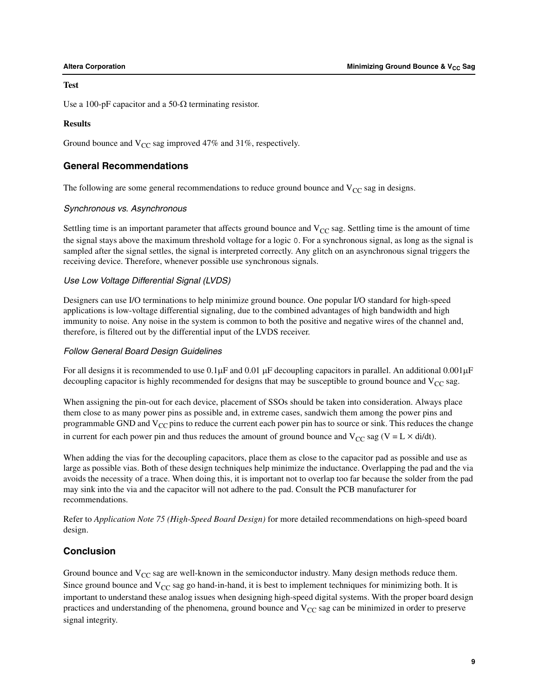#### **Test**

Use a 100-pF capacitor and a 50- $\Omega$  terminating resistor.

#### **Results**

Ground bounce and  $V_{CC}$  sag improved 47% and 31%, respectively.

# **General Recommendations**

The following are some general recommendations to reduce ground bounce and  $V_{CC}$  sag in designs.

#### *Synchronous vs. Asynchronous*

Settling time is an important parameter that affects ground bounce and  $V_{CC}$  sag. Settling time is the amount of time the signal stays above the maximum threshold voltage for a logic 0. For a synchronous signal, as long as the signal is sampled after the signal settles, the signal is interpreted correctly. Any glitch on an asynchronous signal triggers the receiving device. Therefore, whenever possible use synchronous signals.

#### *Use Low Voltage Differential Signal (LVDS)*

Designers can use I/O terminations to help minimize ground bounce. One popular I/O standard for high-speed applications is low-voltage differential signaling, due to the combined advantages of high bandwidth and high immunity to noise. Any noise in the system is common to both the positive and negative wires of the channel and, therefore, is filtered out by the differential input of the LVDS receiver.

#### *Follow General Board Design Guidelines*

For all designs it is recommended to use  $0.1\mu$ F and  $0.01\mu$ F decoupling capacitors in parallel. An additional  $0.001\mu$ F decoupling capacitor is highly recommended for designs that may be susceptible to ground bounce and  $V_{CC}$  sag.

When assigning the pin-out for each device, placement of SSOs should be taken into consideration. Always place them close to as many power pins as possible and, in extreme cases, sandwich them among the power pins and programmable GND and  $V_{CC}$  pins to reduce the current each power pin has to source or sink. This reduces the change in current for each power pin and thus reduces the amount of ground bounce and  $V_{CC}$  sag (V = L  $\times$  di/dt).

When adding the vias for the decoupling capacitors, place them as close to the capacitor pad as possible and use as large as possible vias. Both of these design techniques help minimize the inductance. Overlapping the pad and the via avoids the necessity of a trace. When doing this, it is important not to overlap too far because the solder from the pad may sink into the via and the capacitor will not adhere to the pad. Consult the PCB manufacturer for recommendations.

Refer to *Application Note 75 (High-Speed Board Design)* for more detailed recommendations on high-speed board design.

# **Conclusion**

Ground bounce and  $V_{CC}$  sag are well-known in the semiconductor industry. Many design methods reduce them. Since ground bounce and  $V_{CC}$  sag go hand-in-hand, it is best to implement techniques for minimizing both. It is important to understand these analog issues when designing high-speed digital systems. With the proper board design practices and understanding of the phenomena, ground bounce and  $V_{CC}$  sag can be minimized in order to preserve signal integrity.